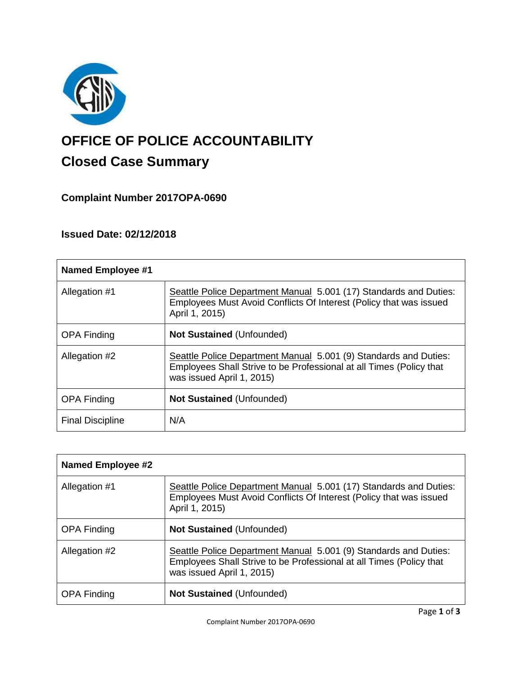

# **OFFICE OF POLICE ACCOUNTABILITY**

# **Closed Case Summary**

### **Complaint Number 2017OPA-0690**

## **Issued Date: 02/12/2018**

| <b>Named Employee #1</b> |                                                                                                                                                                      |
|--------------------------|----------------------------------------------------------------------------------------------------------------------------------------------------------------------|
| Allegation #1            | Seattle Police Department Manual 5.001 (17) Standards and Duties:<br>Employees Must Avoid Conflicts Of Interest (Policy that was issued<br>April 1, 2015)            |
| <b>OPA Finding</b>       | <b>Not Sustained (Unfounded)</b>                                                                                                                                     |
| Allegation #2            | Seattle Police Department Manual 5.001 (9) Standards and Duties:<br>Employees Shall Strive to be Professional at all Times (Policy that<br>was issued April 1, 2015) |
| <b>OPA Finding</b>       | <b>Not Sustained (Unfounded)</b>                                                                                                                                     |
| <b>Final Discipline</b>  | N/A                                                                                                                                                                  |

| <b>Named Employee #2</b> |                                                                                                                                                                      |
|--------------------------|----------------------------------------------------------------------------------------------------------------------------------------------------------------------|
| Allegation #1            | Seattle Police Department Manual 5.001 (17) Standards and Duties:<br>Employees Must Avoid Conflicts Of Interest (Policy that was issued<br>April 1, 2015)            |
| <b>OPA Finding</b>       | <b>Not Sustained (Unfounded)</b>                                                                                                                                     |
| Allegation #2            | Seattle Police Department Manual 5.001 (9) Standards and Duties:<br>Employees Shall Strive to be Professional at all Times (Policy that<br>was issued April 1, 2015) |
| <b>OPA Finding</b>       | <b>Not Sustained (Unfounded)</b>                                                                                                                                     |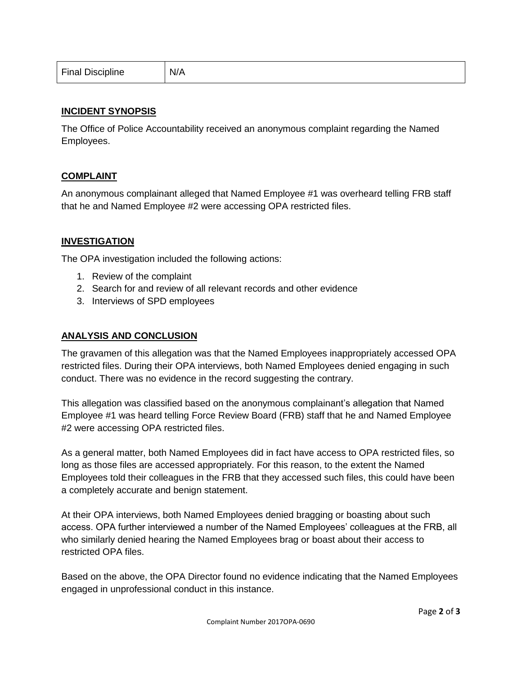| <b>Final Discipline</b> | N/A |
|-------------------------|-----|
|-------------------------|-----|

#### **INCIDENT SYNOPSIS**

The Office of Police Accountability received an anonymous complaint regarding the Named Employees.

#### **COMPLAINT**

An anonymous complainant alleged that Named Employee #1 was overheard telling FRB staff that he and Named Employee #2 were accessing OPA restricted files.

#### **INVESTIGATION**

The OPA investigation included the following actions:

- 1. Review of the complaint
- 2. Search for and review of all relevant records and other evidence
- 3. Interviews of SPD employees

#### **ANALYSIS AND CONCLUSION**

The gravamen of this allegation was that the Named Employees inappropriately accessed OPA restricted files. During their OPA interviews, both Named Employees denied engaging in such conduct. There was no evidence in the record suggesting the contrary.

This allegation was classified based on the anonymous complainant's allegation that Named Employee #1 was heard telling Force Review Board (FRB) staff that he and Named Employee #2 were accessing OPA restricted files.

As a general matter, both Named Employees did in fact have access to OPA restricted files, so long as those files are accessed appropriately. For this reason, to the extent the Named Employees told their colleagues in the FRB that they accessed such files, this could have been a completely accurate and benign statement.

At their OPA interviews, both Named Employees denied bragging or boasting about such access. OPA further interviewed a number of the Named Employees' colleagues at the FRB, all who similarly denied hearing the Named Employees brag or boast about their access to restricted OPA files.

Based on the above, the OPA Director found no evidence indicating that the Named Employees engaged in unprofessional conduct in this instance.